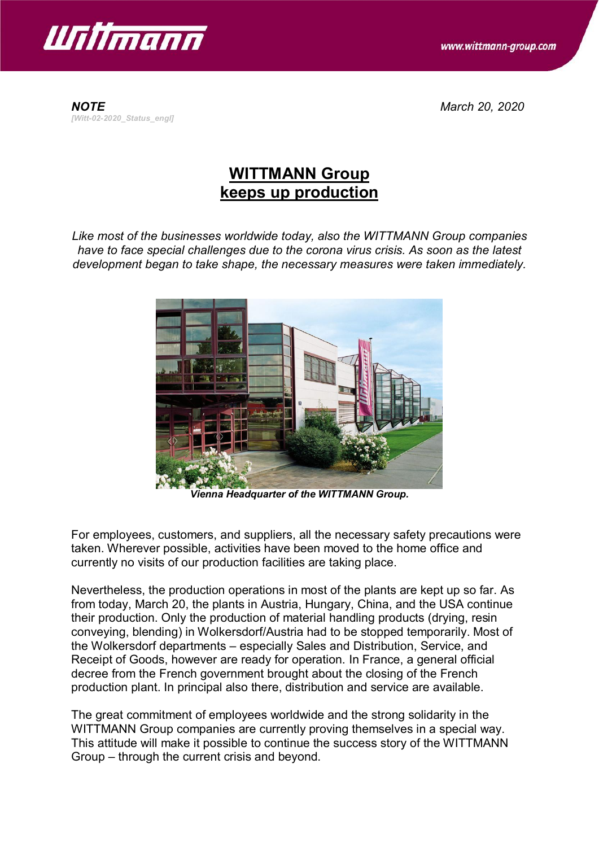

www.wittmann-group.com

*NOTE March 20, 2020 [Witt-02-2020\_Status\_engl]*

## **WITTMANN Group keeps up production**

*Like most of the businesses worldwide today, also the WITTMANN Group companies have to face special challenges due to the corona virus crisis. As soon as the latest development began to take shape, the necessary measures were taken immediately.*



*Vienna Headquarter of the WITTMANN Group.*

For employees, customers, and suppliers, all the necessary safety precautions were taken. Wherever possible, activities have been moved to the home office and currently no visits of our production facilities are taking place.

Nevertheless, the production operations in most of the plants are kept up so far. As from today, March 20, the plants in Austria, Hungary, China, and the USA continue their production. Only the production of material handling products (drying, resin conveying, blending) in Wolkersdorf/Austria had to be stopped temporarily. Most of the Wolkersdorf departments – especially Sales and Distribution, Service, and Receipt of Goods, however are ready for operation. In France, a general official decree from the French government brought about the closing of the French production plant. In principal also there, distribution and service are available.

The great commitment of employees worldwide and the strong solidarity in the WITTMANN Group companies are currently proving themselves in a special way. This attitude will make it possible to continue the success story of the WITTMANN Group – through the current crisis and beyond.